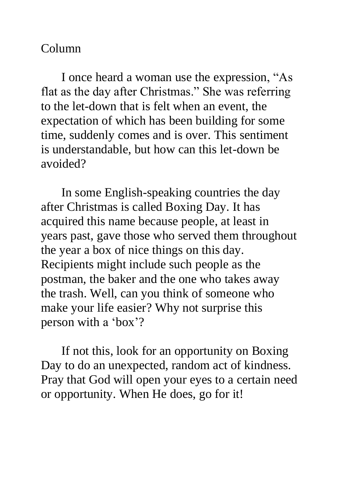## Column

I once heard a woman use the expression, "As flat as the day after Christmas." She was referring to the let-down that is felt when an event, the expectation of which has been building for some time, suddenly comes and is over. This sentiment is understandable, but how can this let-down be avoided?

In some English-speaking countries the day after Christmas is called Boxing Day. It has acquired this name because people, at least in years past, gave those who served them throughout the year a box of nice things on this day. Recipients might include such people as the postman, the baker and the one who takes away the trash. Well, can you think of someone who make your life easier? Why not surprise this person with a 'box'?

If not this, look for an opportunity on Boxing Day to do an unexpected, random act of kindness. Pray that God will open your eyes to a certain need or opportunity. When He does, go for it!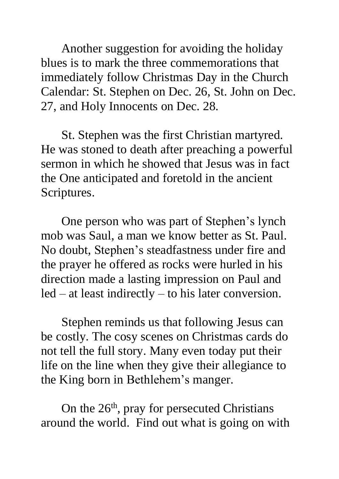Another suggestion for avoiding the holiday blues is to mark the three commemorations that immediately follow Christmas Day in the Church Calendar: St. Stephen on Dec. 26, St. John on Dec. 27, and Holy Innocents on Dec. 28.

St. Stephen was the first Christian martyred. He was stoned to death after preaching a powerful sermon in which he showed that Jesus was in fact the One anticipated and foretold in the ancient Scriptures.

One person who was part of Stephen's lynch mob was Saul, a man we know better as St. Paul. No doubt, Stephen's steadfastness under fire and the prayer he offered as rocks were hurled in his direction made a lasting impression on Paul and led – at least indirectly – to his later conversion.

Stephen reminds us that following Jesus can be costly. The cosy scenes on Christmas cards do not tell the full story. Many even today put their life on the line when they give their allegiance to the King born in Bethlehem's manger.

On the 26<sup>th</sup>, pray for persecuted Christians around the world. Find out what is going on with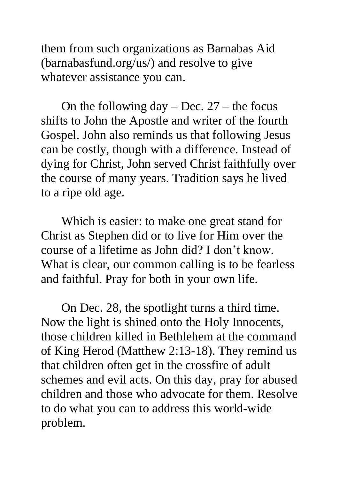them from such organizations as Barnabas Aid (barnabasfund.org/us/) and resolve to give whatever assistance you can.

On the following day  $-$  Dec. 27  $-$  the focus shifts to John the Apostle and writer of the fourth Gospel. John also reminds us that following Jesus can be costly, though with a difference. Instead of dying for Christ, John served Christ faithfully over the course of many years. Tradition says he lived to a ripe old age.

Which is easier: to make one great stand for Christ as Stephen did or to live for Him over the course of a lifetime as John did? I don't know. What is clear, our common calling is to be fearless and faithful. Pray for both in your own life.

On Dec. 28, the spotlight turns a third time. Now the light is shined onto the Holy Innocents, those children killed in Bethlehem at the command of King Herod (Matthew 2:13-18). They remind us that children often get in the crossfire of adult schemes and evil acts. On this day, pray for abused children and those who advocate for them. Resolve to do what you can to address this world-wide problem.